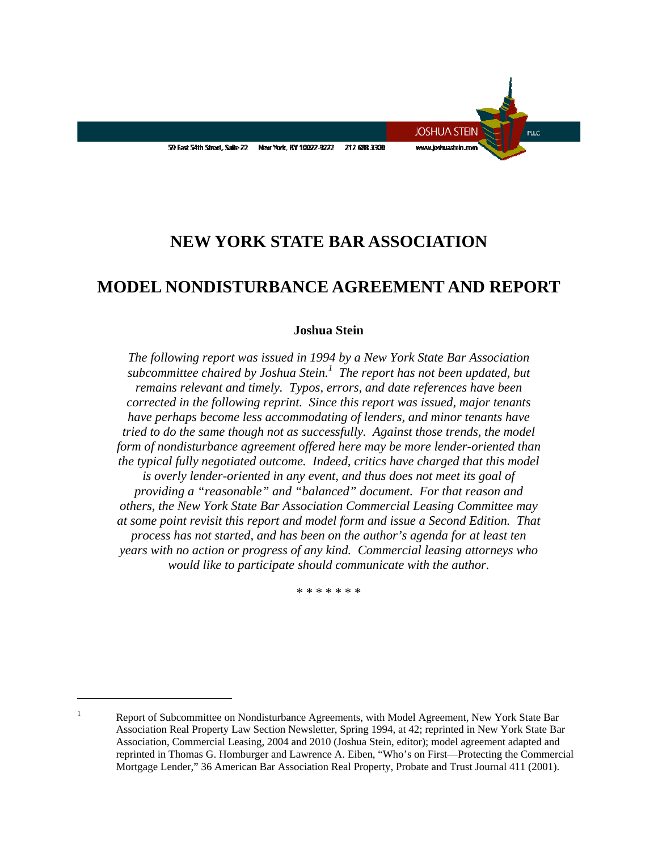

# **NEW YORK STATE BAR ASSOCIATION**

# **MODEL NONDISTURBANCE AGREEMENT AND REPORT**

#### **Joshua Stein**

*The following report was issued in 1994 by a New York State Bar Association subcommittee chaired by Joshua Stein.1 The report has not been updated, but remains relevant and timely. Typos, errors, and date references have been corrected in the following reprint. Since this report was issued, major tenants have perhaps become less accommodating of lenders, and minor tenants have tried to do the same though not as successfully. Against those trends, the model form of nondisturbance agreement offered here may be more lender-oriented than the typical fully negotiated outcome. Indeed, critics have charged that this model is overly lender-oriented in any event, and thus does not meet its goal of providing a "reasonable" and "balanced" document. For that reason and others, the New York State Bar Association Commercial Leasing Committee may at some point revisit this report and model form and issue a Second Edition. That process has not started, and has been on the author's agenda for at least ten years with no action or progress of any kind. Commercial leasing attorneys who would like to participate should communicate with the author.* 

\* \* \* \* \* \* \*

1

<sup>1</sup> Report of Subcommittee on Nondisturbance Agreements, with Model Agreement, New York State Bar Association Real Property Law Section Newsletter, Spring 1994, at 42; reprinted in New York State Bar Association, Commercial Leasing, 2004 and 2010 (Joshua Stein, editor); model agreement adapted and reprinted in Thomas G. Homburger and Lawrence A. Eiben, "Who's on First—Protecting the Commercial Mortgage Lender," 36 American Bar Association Real Property, Probate and Trust Journal 411 (2001).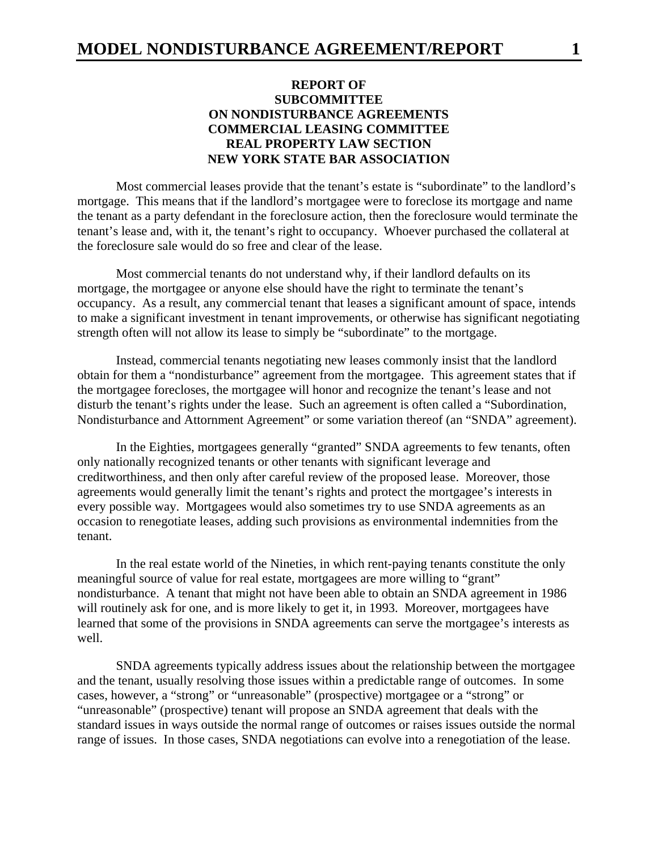#### **REPORT OF SUBCOMMITTEE ON NONDISTURBANCE AGREEMENTS COMMERCIAL LEASING COMMITTEE REAL PROPERTY LAW SECTION NEW YORK STATE BAR ASSOCIATION**

Most commercial leases provide that the tenant's estate is "subordinate" to the landlord's mortgage. This means that if the landlord's mortgagee were to foreclose its mortgage and name the tenant as a party defendant in the foreclosure action, then the foreclosure would terminate the tenant's lease and, with it, the tenant's right to occupancy. Whoever purchased the collateral at the foreclosure sale would do so free and clear of the lease.

Most commercial tenants do not understand why, if their landlord defaults on its mortgage, the mortgagee or anyone else should have the right to terminate the tenant's occupancy. As a result, any commercial tenant that leases a significant amount of space, intends to make a significant investment in tenant improvements, or otherwise has significant negotiating strength often will not allow its lease to simply be "subordinate" to the mortgage.

Instead, commercial tenants negotiating new leases commonly insist that the landlord obtain for them a "nondisturbance" agreement from the mortgagee. This agreement states that if the mortgagee forecloses, the mortgagee will honor and recognize the tenant's lease and not disturb the tenant's rights under the lease. Such an agreement is often called a "Subordination, Nondisturbance and Attornment Agreement" or some variation thereof (an "SNDA" agreement).

In the Eighties, mortgagees generally "granted" SNDA agreements to few tenants, often only nationally recognized tenants or other tenants with significant leverage and creditworthiness, and then only after careful review of the proposed lease. Moreover, those agreements would generally limit the tenant's rights and protect the mortgagee's interests in every possible way. Mortgagees would also sometimes try to use SNDA agreements as an occasion to renegotiate leases, adding such provisions as environmental indemnities from the tenant.

In the real estate world of the Nineties, in which rent-paying tenants constitute the only meaningful source of value for real estate, mortgagees are more willing to "grant" nondisturbance. A tenant that might not have been able to obtain an SNDA agreement in 1986 will routinely ask for one, and is more likely to get it, in 1993. Moreover, mortgagees have learned that some of the provisions in SNDA agreements can serve the mortgagee's interests as well.

SNDA agreements typically address issues about the relationship between the mortgagee and the tenant, usually resolving those issues within a predictable range of outcomes. In some cases, however, a "strong" or "unreasonable" (prospective) mortgagee or a "strong" or "unreasonable" (prospective) tenant will propose an SNDA agreement that deals with the standard issues in ways outside the normal range of outcomes or raises issues outside the normal range of issues. In those cases, SNDA negotiations can evolve into a renegotiation of the lease.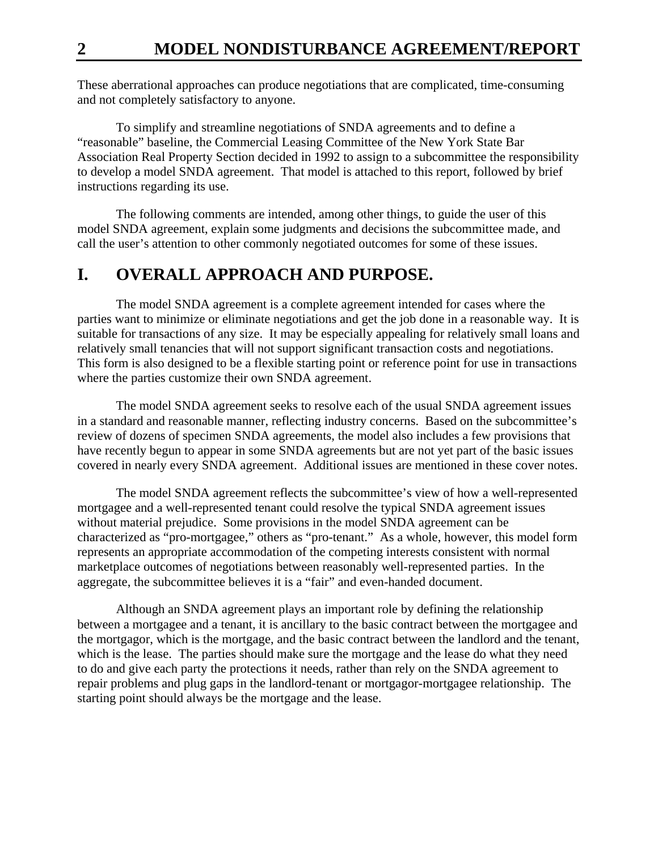These aberrational approaches can produce negotiations that are complicated, time-consuming and not completely satisfactory to anyone.

To simplify and streamline negotiations of SNDA agreements and to define a "reasonable" baseline, the Commercial Leasing Committee of the New York State Bar Association Real Property Section decided in 1992 to assign to a subcommittee the responsibility to develop a model SNDA agreement. That model is attached to this report, followed by brief instructions regarding its use.

The following comments are intended, among other things, to guide the user of this model SNDA agreement, explain some judgments and decisions the subcommittee made, and call the user's attention to other commonly negotiated outcomes for some of these issues.

# **I. OVERALL APPROACH AND PURPOSE.**

The model SNDA agreement is a complete agreement intended for cases where the parties want to minimize or eliminate negotiations and get the job done in a reasonable way. It is suitable for transactions of any size. It may be especially appealing for relatively small loans and relatively small tenancies that will not support significant transaction costs and negotiations. This form is also designed to be a flexible starting point or reference point for use in transactions where the parties customize their own SNDA agreement.

The model SNDA agreement seeks to resolve each of the usual SNDA agreement issues in a standard and reasonable manner, reflecting industry concerns. Based on the subcommittee's review of dozens of specimen SNDA agreements, the model also includes a few provisions that have recently begun to appear in some SNDA agreements but are not yet part of the basic issues covered in nearly every SNDA agreement. Additional issues are mentioned in these cover notes.

The model SNDA agreement reflects the subcommittee's view of how a well-represented mortgagee and a well-represented tenant could resolve the typical SNDA agreement issues without material prejudice. Some provisions in the model SNDA agreement can be characterized as "pro-mortgagee," others as "pro-tenant." As a whole, however, this model form represents an appropriate accommodation of the competing interests consistent with normal marketplace outcomes of negotiations between reasonably well-represented parties. In the aggregate, the subcommittee believes it is a "fair" and even-handed document.

Although an SNDA agreement plays an important role by defining the relationship between a mortgagee and a tenant, it is ancillary to the basic contract between the mortgagee and the mortgagor, which is the mortgage, and the basic contract between the landlord and the tenant, which is the lease. The parties should make sure the mortgage and the lease do what they need to do and give each party the protections it needs, rather than rely on the SNDA agreement to repair problems and plug gaps in the landlord-tenant or mortgagor-mortgagee relationship. The starting point should always be the mortgage and the lease.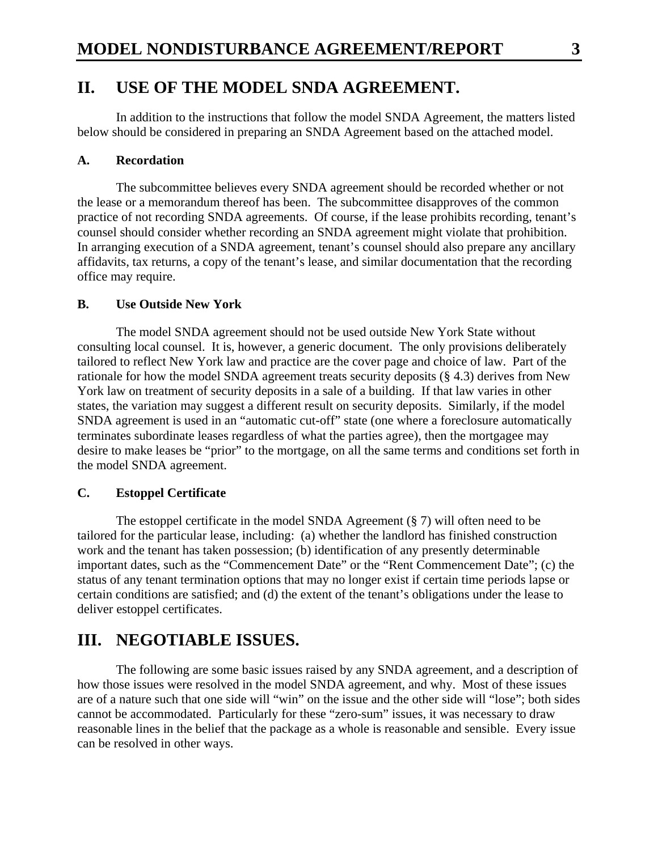# **II. USE OF THE MODEL SNDA AGREEMENT.**

In addition to the instructions that follow the model SNDA Agreement, the matters listed below should be considered in preparing an SNDA Agreement based on the attached model.

#### **A. Recordation**

The subcommittee believes every SNDA agreement should be recorded whether or not the lease or a memorandum thereof has been. The subcommittee disapproves of the common practice of not recording SNDA agreements. Of course, if the lease prohibits recording, tenant's counsel should consider whether recording an SNDA agreement might violate that prohibition. In arranging execution of a SNDA agreement, tenant's counsel should also prepare any ancillary affidavits, tax returns, a copy of the tenant's lease, and similar documentation that the recording office may require.

#### **B. Use Outside New York**

The model SNDA agreement should not be used outside New York State without consulting local counsel. It is, however, a generic document. The only provisions deliberately tailored to reflect New York law and practice are the cover page and choice of law. Part of the rationale for how the model SNDA agreement treats security deposits (§ 4.3) derives from New York law on treatment of security deposits in a sale of a building. If that law varies in other states, the variation may suggest a different result on security deposits. Similarly, if the model SNDA agreement is used in an "automatic cut-off" state (one where a foreclosure automatically terminates subordinate leases regardless of what the parties agree), then the mortgagee may desire to make leases be "prior" to the mortgage, on all the same terms and conditions set forth in the model SNDA agreement.

#### **C. Estoppel Certificate**

The estoppel certificate in the model SNDA Agreement (§ 7) will often need to be tailored for the particular lease, including: (a) whether the landlord has finished construction work and the tenant has taken possession; (b) identification of any presently determinable important dates, such as the "Commencement Date" or the "Rent Commencement Date"; (c) the status of any tenant termination options that may no longer exist if certain time periods lapse or certain conditions are satisfied; and (d) the extent of the tenant's obligations under the lease to deliver estoppel certificates.

# **III. NEGOTIABLE ISSUES.**

The following are some basic issues raised by any SNDA agreement, and a description of how those issues were resolved in the model SNDA agreement, and why. Most of these issues are of a nature such that one side will "win" on the issue and the other side will "lose"; both sides cannot be accommodated. Particularly for these "zero-sum" issues, it was necessary to draw reasonable lines in the belief that the package as a whole is reasonable and sensible. Every issue can be resolved in other ways.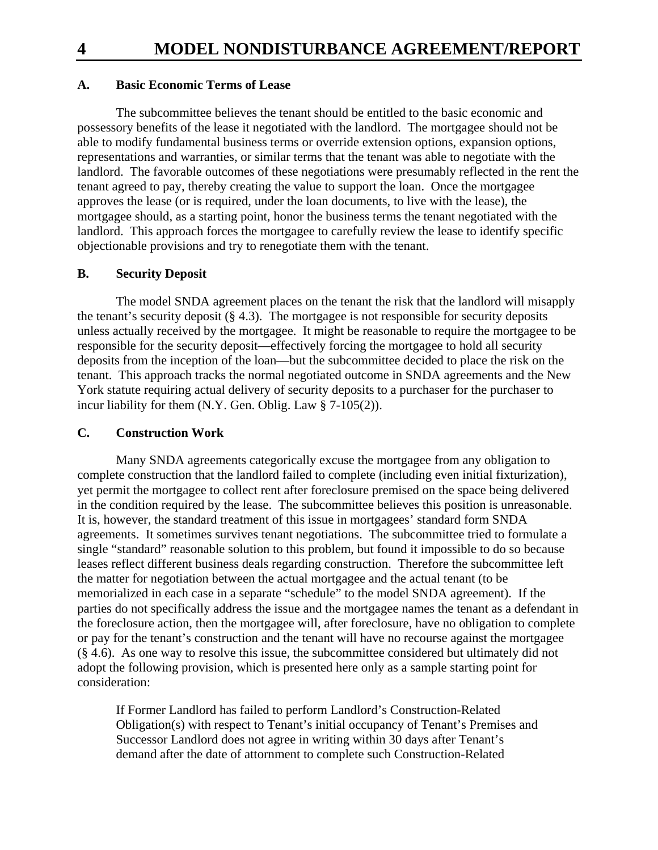#### **A. Basic Economic Terms of Lease**

The subcommittee believes the tenant should be entitled to the basic economic and possessory benefits of the lease it negotiated with the landlord. The mortgagee should not be able to modify fundamental business terms or override extension options, expansion options, representations and warranties, or similar terms that the tenant was able to negotiate with the landlord. The favorable outcomes of these negotiations were presumably reflected in the rent the tenant agreed to pay, thereby creating the value to support the loan. Once the mortgagee approves the lease (or is required, under the loan documents, to live with the lease), the mortgagee should, as a starting point, honor the business terms the tenant negotiated with the landlord. This approach forces the mortgagee to carefully review the lease to identify specific objectionable provisions and try to renegotiate them with the tenant.

#### **B. Security Deposit**

The model SNDA agreement places on the tenant the risk that the landlord will misapply the tenant's security deposit (§ 4.3). The mortgagee is not responsible for security deposits unless actually received by the mortgagee. It might be reasonable to require the mortgagee to be responsible for the security deposit—effectively forcing the mortgagee to hold all security deposits from the inception of the loan—but the subcommittee decided to place the risk on the tenant. This approach tracks the normal negotiated outcome in SNDA agreements and the New York statute requiring actual delivery of security deposits to a purchaser for the purchaser to incur liability for them (N.Y. Gen. Oblig. Law § 7-105(2)).

#### **C. Construction Work**

Many SNDA agreements categorically excuse the mortgagee from any obligation to complete construction that the landlord failed to complete (including even initial fixturization), yet permit the mortgagee to collect rent after foreclosure premised on the space being delivered in the condition required by the lease. The subcommittee believes this position is unreasonable. It is, however, the standard treatment of this issue in mortgagees' standard form SNDA agreements. It sometimes survives tenant negotiations. The subcommittee tried to formulate a single "standard" reasonable solution to this problem, but found it impossible to do so because leases reflect different business deals regarding construction. Therefore the subcommittee left the matter for negotiation between the actual mortgagee and the actual tenant (to be memorialized in each case in a separate "schedule" to the model SNDA agreement). If the parties do not specifically address the issue and the mortgagee names the tenant as a defendant in the foreclosure action, then the mortgagee will, after foreclosure, have no obligation to complete or pay for the tenant's construction and the tenant will have no recourse against the mortgagee (§ 4.6). As one way to resolve this issue, the subcommittee considered but ultimately did not adopt the following provision, which is presented here only as a sample starting point for consideration:

If Former Landlord has failed to perform Landlord's Construction-Related Obligation(s) with respect to Tenant's initial occupancy of Tenant's Premises and Successor Landlord does not agree in writing within 30 days after Tenant's demand after the date of attornment to complete such Construction-Related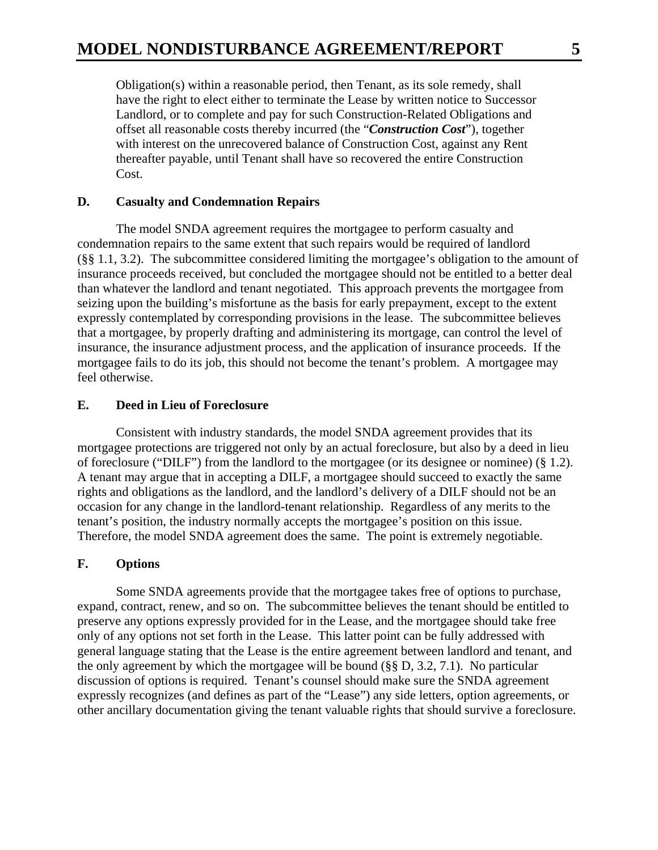Obligation(s) within a reasonable period, then Tenant, as its sole remedy, shall have the right to elect either to terminate the Lease by written notice to Successor Landlord, or to complete and pay for such Construction-Related Obligations and offset all reasonable costs thereby incurred (the "*Construction Cost*"), together with interest on the unrecovered balance of Construction Cost, against any Rent thereafter payable, until Tenant shall have so recovered the entire Construction Cost.

#### **D. Casualty and Condemnation Repairs**

The model SNDA agreement requires the mortgagee to perform casualty and condemnation repairs to the same extent that such repairs would be required of landlord (§§ 1.1, 3.2). The subcommittee considered limiting the mortgagee's obligation to the amount of insurance proceeds received, but concluded the mortgagee should not be entitled to a better deal than whatever the landlord and tenant negotiated. This approach prevents the mortgagee from seizing upon the building's misfortune as the basis for early prepayment, except to the extent expressly contemplated by corresponding provisions in the lease. The subcommittee believes that a mortgagee, by properly drafting and administering its mortgage, can control the level of insurance, the insurance adjustment process, and the application of insurance proceeds. If the mortgagee fails to do its job, this should not become the tenant's problem. A mortgagee may feel otherwise.

#### **E. Deed in Lieu of Foreclosure**

Consistent with industry standards, the model SNDA agreement provides that its mortgagee protections are triggered not only by an actual foreclosure, but also by a deed in lieu of foreclosure ("DILF") from the landlord to the mortgagee (or its designee or nominee) (§ 1.2). A tenant may argue that in accepting a DILF, a mortgagee should succeed to exactly the same rights and obligations as the landlord, and the landlord's delivery of a DILF should not be an occasion for any change in the landlord-tenant relationship. Regardless of any merits to the tenant's position, the industry normally accepts the mortgagee's position on this issue. Therefore, the model SNDA agreement does the same. The point is extremely negotiable.

# **F. Options**

Some SNDA agreements provide that the mortgagee takes free of options to purchase, expand, contract, renew, and so on. The subcommittee believes the tenant should be entitled to preserve any options expressly provided for in the Lease, and the mortgagee should take free only of any options not set forth in the Lease. This latter point can be fully addressed with general language stating that the Lease is the entire agreement between landlord and tenant, and the only agreement by which the mortgagee will be bound (§§ D, 3.2, 7.1). No particular discussion of options is required. Tenant's counsel should make sure the SNDA agreement expressly recognizes (and defines as part of the "Lease") any side letters, option agreements, or other ancillary documentation giving the tenant valuable rights that should survive a foreclosure.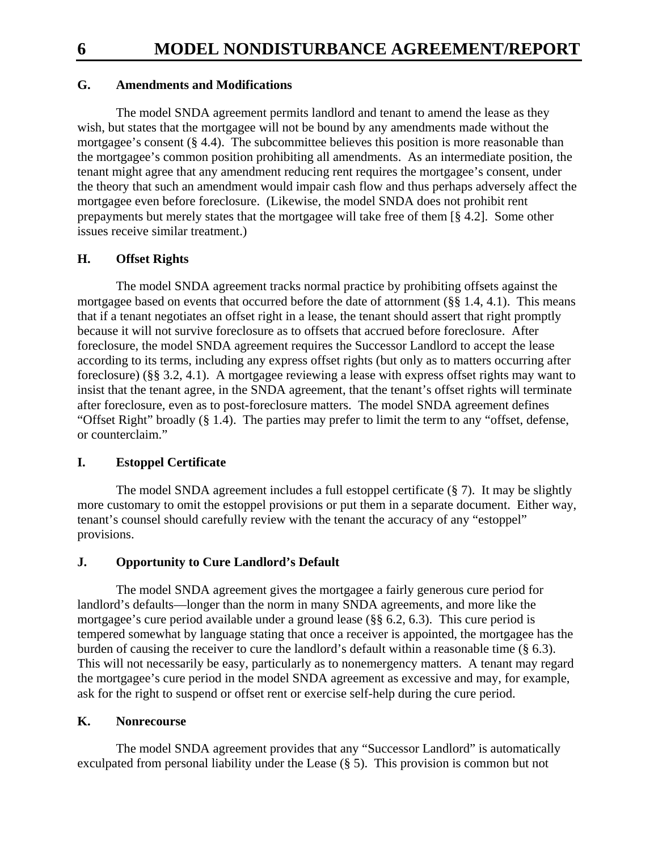# **G. Amendments and Modifications**

The model SNDA agreement permits landlord and tenant to amend the lease as they wish, but states that the mortgagee will not be bound by any amendments made without the mortgagee's consent  $(\S 4.4)$ . The subcommittee believes this position is more reasonable than the mortgagee's common position prohibiting all amendments. As an intermediate position, the tenant might agree that any amendment reducing rent requires the mortgagee's consent, under the theory that such an amendment would impair cash flow and thus perhaps adversely affect the mortgagee even before foreclosure. (Likewise, the model SNDA does not prohibit rent prepayments but merely states that the mortgagee will take free of them [§ 4.2]. Some other issues receive similar treatment.)

# **H. Offset Rights**

The model SNDA agreement tracks normal practice by prohibiting offsets against the mortgagee based on events that occurred before the date of attornment (§§ 1.4, 4.1). This means that if a tenant negotiates an offset right in a lease, the tenant should assert that right promptly because it will not survive foreclosure as to offsets that accrued before foreclosure. After foreclosure, the model SNDA agreement requires the Successor Landlord to accept the lease according to its terms, including any express offset rights (but only as to matters occurring after foreclosure) (§§ 3.2, 4.1). A mortgagee reviewing a lease with express offset rights may want to insist that the tenant agree, in the SNDA agreement, that the tenant's offset rights will terminate after foreclosure, even as to post-foreclosure matters. The model SNDA agreement defines "Offset Right" broadly (§ 1.4). The parties may prefer to limit the term to any "offset, defense, or counterclaim."

# **I. Estoppel Certificate**

The model SNDA agreement includes a full estoppel certificate (§ 7). It may be slightly more customary to omit the estoppel provisions or put them in a separate document. Either way, tenant's counsel should carefully review with the tenant the accuracy of any "estoppel" provisions.

# **J. Opportunity to Cure Landlord's Default**

The model SNDA agreement gives the mortgagee a fairly generous cure period for landlord's defaults—longer than the norm in many SNDA agreements, and more like the mortgagee's cure period available under a ground lease (§§ 6.2, 6.3). This cure period is tempered somewhat by language stating that once a receiver is appointed, the mortgagee has the burden of causing the receiver to cure the landlord's default within a reasonable time (§ 6.3). This will not necessarily be easy, particularly as to nonemergency matters. A tenant may regard the mortgagee's cure period in the model SNDA agreement as excessive and may, for example, ask for the right to suspend or offset rent or exercise self-help during the cure period.

# **K. Nonrecourse**

The model SNDA agreement provides that any "Successor Landlord" is automatically exculpated from personal liability under the Lease (§ 5). This provision is common but not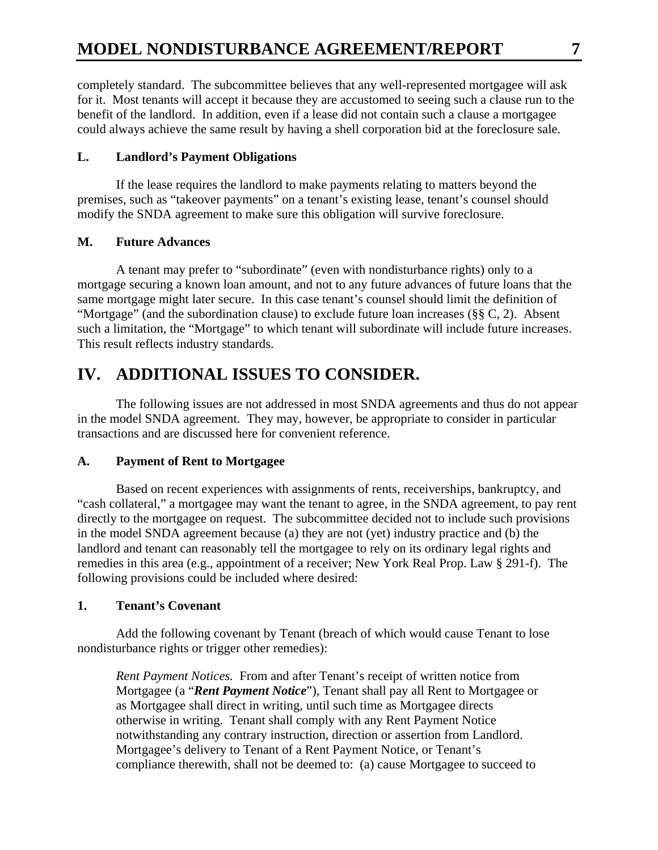completely standard. The subcommittee believes that any well-represented mortgagee will ask for it. Most tenants will accept it because they are accustomed to seeing such a clause run to the benefit of the landlord. In addition, even if a lease did not contain such a clause a mortgagee could always achieve the same result by having a shell corporation bid at the foreclosure sale.

# **L. Landlord's Payment Obligations**

If the lease requires the landlord to make payments relating to matters beyond the premises, such as "takeover payments" on a tenant's existing lease, tenant's counsel should modify the SNDA agreement to make sure this obligation will survive foreclosure.

# **M. Future Advances**

A tenant may prefer to "subordinate" (even with nondisturbance rights) only to a mortgage securing a known loan amount, and not to any future advances of future loans that the same mortgage might later secure. In this case tenant's counsel should limit the definition of "Mortgage" (and the subordination clause) to exclude future loan increases ( $\S\S C$ , 2). Absent such a limitation, the "Mortgage" to which tenant will subordinate will include future increases. This result reflects industry standards.

# **IV. ADDITIONAL ISSUES TO CONSIDER.**

The following issues are not addressed in most SNDA agreements and thus do not appear in the model SNDA agreement. They may, however, be appropriate to consider in particular transactions and are discussed here for convenient reference.

# **A. Payment of Rent to Mortgagee**

Based on recent experiences with assignments of rents, receiverships, bankruptcy, and "cash collateral," a mortgagee may want the tenant to agree, in the SNDA agreement, to pay rent directly to the mortgagee on request. The subcommittee decided not to include such provisions in the model SNDA agreement because (a) they are not (yet) industry practice and (b) the landlord and tenant can reasonably tell the mortgagee to rely on its ordinary legal rights and remedies in this area (e.g., appointment of a receiver; New York Real Prop. Law § 291-f). The following provisions could be included where desired:

# **1. Tenant's Covenant**

Add the following covenant by Tenant (breach of which would cause Tenant to lose nondisturbance rights or trigger other remedies):

*Rent Payment Notices.* From and after Tenant's receipt of written notice from Mortgagee (a "*Rent Payment Notice*"), Tenant shall pay all Rent to Mortgagee or as Mortgagee shall direct in writing, until such time as Mortgagee directs otherwise in writing. Tenant shall comply with any Rent Payment Notice notwithstanding any contrary instruction, direction or assertion from Landlord. Mortgagee's delivery to Tenant of a Rent Payment Notice, or Tenant's compliance therewith, shall not be deemed to: (a) cause Mortgagee to succeed to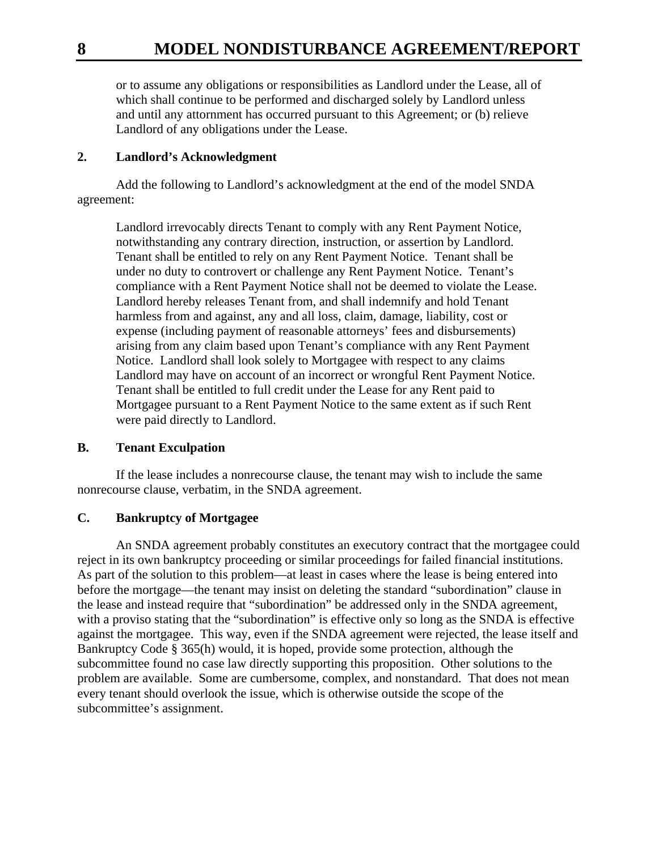or to assume any obligations or responsibilities as Landlord under the Lease, all of which shall continue to be performed and discharged solely by Landlord unless and until any attornment has occurred pursuant to this Agreement; or (b) relieve Landlord of any obligations under the Lease.

#### **2. Landlord's Acknowledgment**

Add the following to Landlord's acknowledgment at the end of the model SNDA agreement:

Landlord irrevocably directs Tenant to comply with any Rent Payment Notice, notwithstanding any contrary direction, instruction, or assertion by Landlord. Tenant shall be entitled to rely on any Rent Payment Notice. Tenant shall be under no duty to controvert or challenge any Rent Payment Notice. Tenant's compliance with a Rent Payment Notice shall not be deemed to violate the Lease. Landlord hereby releases Tenant from, and shall indemnify and hold Tenant harmless from and against, any and all loss, claim, damage, liability, cost or expense (including payment of reasonable attorneys' fees and disbursements) arising from any claim based upon Tenant's compliance with any Rent Payment Notice. Landlord shall look solely to Mortgagee with respect to any claims Landlord may have on account of an incorrect or wrongful Rent Payment Notice. Tenant shall be entitled to full credit under the Lease for any Rent paid to Mortgagee pursuant to a Rent Payment Notice to the same extent as if such Rent were paid directly to Landlord.

# **B. Tenant Exculpation**

If the lease includes a nonrecourse clause, the tenant may wish to include the same nonrecourse clause, verbatim, in the SNDA agreement.

# **C. Bankruptcy of Mortgagee**

An SNDA agreement probably constitutes an executory contract that the mortgagee could reject in its own bankruptcy proceeding or similar proceedings for failed financial institutions. As part of the solution to this problem—at least in cases where the lease is being entered into before the mortgage—the tenant may insist on deleting the standard "subordination" clause in the lease and instead require that "subordination" be addressed only in the SNDA agreement, with a proviso stating that the "subordination" is effective only so long as the SNDA is effective against the mortgagee. This way, even if the SNDA agreement were rejected, the lease itself and Bankruptcy Code § 365(h) would, it is hoped, provide some protection, although the subcommittee found no case law directly supporting this proposition. Other solutions to the problem are available. Some are cumbersome, complex, and nonstandard. That does not mean every tenant should overlook the issue, which is otherwise outside the scope of the subcommittee's assignment.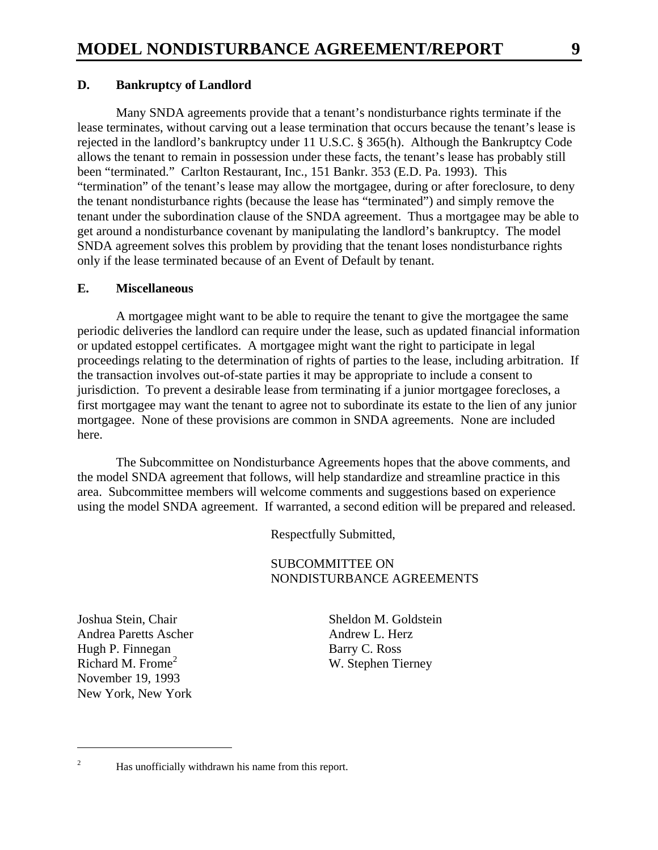#### **D. Bankruptcy of Landlord**

Many SNDA agreements provide that a tenant's nondisturbance rights terminate if the lease terminates, without carving out a lease termination that occurs because the tenant's lease is rejected in the landlord's bankruptcy under 11 U.S.C. § 365(h). Although the Bankruptcy Code allows the tenant to remain in possession under these facts, the tenant's lease has probably still been "terminated." Carlton Restaurant, Inc., 151 Bankr. 353 (E.D. Pa. 1993). This "termination" of the tenant's lease may allow the mortgagee, during or after foreclosure, to deny the tenant nondisturbance rights (because the lease has "terminated") and simply remove the tenant under the subordination clause of the SNDA agreement. Thus a mortgagee may be able to get around a nondisturbance covenant by manipulating the landlord's bankruptcy. The model SNDA agreement solves this problem by providing that the tenant loses nondisturbance rights only if the lease terminated because of an Event of Default by tenant.

#### **E. Miscellaneous**

A mortgagee might want to be able to require the tenant to give the mortgagee the same periodic deliveries the landlord can require under the lease, such as updated financial information or updated estoppel certificates. A mortgagee might want the right to participate in legal proceedings relating to the determination of rights of parties to the lease, including arbitration. If the transaction involves out-of-state parties it may be appropriate to include a consent to jurisdiction. To prevent a desirable lease from terminating if a junior mortgagee forecloses, a first mortgagee may want the tenant to agree not to subordinate its estate to the lien of any junior mortgagee. None of these provisions are common in SNDA agreements. None are included here.

The Subcommittee on Nondisturbance Agreements hopes that the above comments, and the model SNDA agreement that follows, will help standardize and streamline practice in this area. Subcommittee members will welcome comments and suggestions based on experience using the model SNDA agreement. If warranted, a second edition will be prepared and released.

Respectfully Submitted,

SUBCOMMITTEE ON NONDISTURBANCE AGREEMENTS

Andrea Paretts Ascher Andrew L. Herz Hugh P. Finnegan Barry C. Ross Richard M. Frome<sup>2</sup> November 19, 1993 New York, New York

 $\overline{a}$ 2

Joshua Stein, Chair Sheldon M. Goldstein W. Stephen Tierney

Has unofficially withdrawn his name from this report.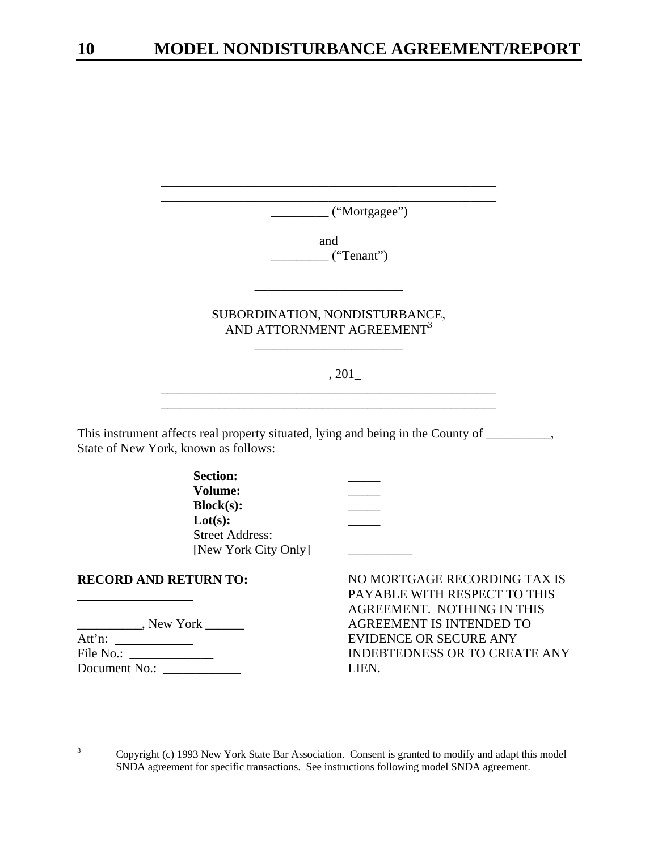\_\_\_\_\_\_\_\_\_ ("Mortgagee")

and

\_\_\_\_\_\_\_\_\_\_\_\_\_\_\_\_\_\_\_\_\_\_\_

\_\_\_\_\_\_\_\_\_\_\_\_\_\_\_\_\_\_\_\_\_\_\_\_\_\_\_\_\_\_\_\_\_\_\_\_\_\_\_\_\_\_\_\_\_\_\_\_\_\_\_\_ \_\_\_\_\_\_\_\_\_\_\_\_\_\_\_\_\_\_\_\_\_\_\_\_\_\_\_\_\_\_\_\_\_\_\_\_\_\_\_\_\_\_\_\_\_\_\_\_\_\_\_\_

 $\qquad \qquad$  ("Tenant")

# SUBORDINATION, NONDISTURBANCE, AND ATTORNMENT AGREEMENT<sup>3</sup> \_\_\_\_\_\_\_\_\_\_\_\_\_\_\_\_\_\_\_\_\_\_\_

 $\frac{1}{201}$ , 201

\_\_\_\_\_\_\_\_\_\_\_\_\_\_\_\_\_\_\_\_\_\_\_\_\_\_\_\_\_\_\_\_\_\_\_\_\_\_\_\_\_\_\_\_\_\_\_\_\_\_\_\_ \_\_\_\_\_\_\_\_\_\_\_\_\_\_\_\_\_\_\_\_\_\_\_\_\_\_\_\_\_\_\_\_\_\_\_\_\_\_\_\_\_\_\_\_\_\_\_\_\_\_\_\_

This instrument affects real property situated, lying and being in the County of  $\frac{1}{\sqrt{1-\frac{1}{\sqrt{1-\frac{1}{\sqrt{1-\frac{1}{\sqrt{1-\frac{1}{\sqrt{1-\frac{1}{\sqrt{1-\frac{1}{\sqrt{1-\frac{1}{\sqrt{1-\frac{1}{\sqrt{1-\frac{1}{\sqrt{1-\frac{1}{\sqrt{1-\frac{1}{\sqrt{1-\frac{1}{\sqrt{1-\frac{1}{\sqrt{1-\frac{1}{\sqrt{1-\frac{1}{$ State of New York, known as follows:

> **Section:** \_\_\_\_\_ **Volume:** \_\_\_\_\_ **Block(s):** \_\_\_\_\_  $Lot(s):$ Street Address: [New York City Only]

#### **RECORD AND RETURN TO:**

 $\frac{1}{2}$ , New York  $\frac{1}{2}$ 

Att'n: File No.: \_\_\_\_\_\_\_\_\_\_\_\_\_ Document No.: NO MORTGAGE RECORDING TAX IS PAYABLE WITH RESPECT TO THIS AGREEMENT. NOTHING IN THIS AGREEMENT IS INTENDED TO EVIDENCE OR SECURE ANY INDEBTEDNESS OR TO CREATE ANY LIEN.

 $\overline{a}$ l

 $\overline{a}$ 3

Copyright (c) 1993 New York State Bar Association. Consent is granted to modify and adapt this model SNDA agreement for specific transactions. See instructions following model SNDA agreement.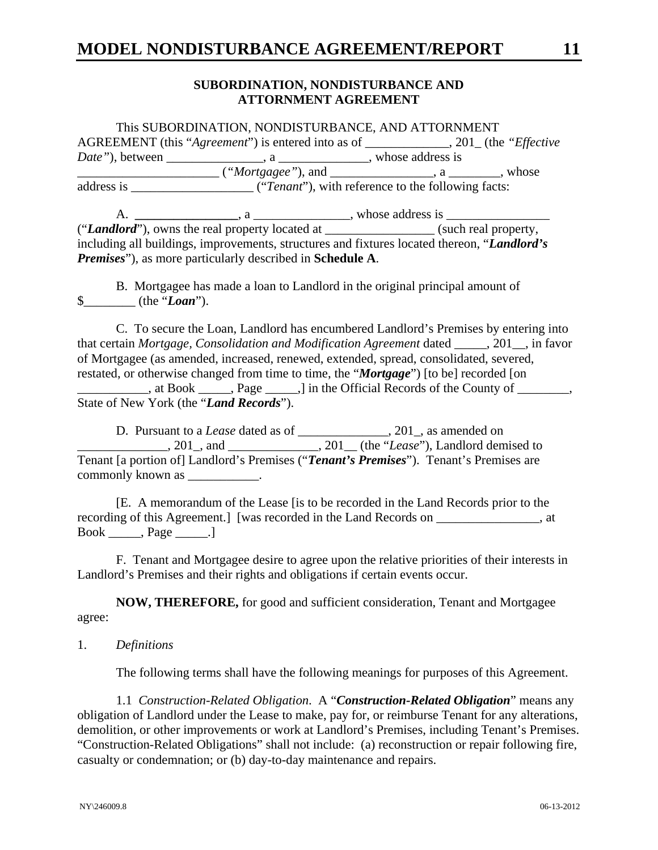#### **SUBORDINATION, NONDISTURBANCE AND ATTORNMENT AGREEMENT**

|                             |                                                                                                                         | This SUBORDINATION, NONDISTURBANCE, AND ATTORNMENT                                                            |  |
|-----------------------------|-------------------------------------------------------------------------------------------------------------------------|---------------------------------------------------------------------------------------------------------------|--|
|                             |                                                                                                                         | AGREEMENT (this "Agreement") is entered into as of _____________, 201_ (the "Effective"                       |  |
|                             |                                                                                                                         |                                                                                                               |  |
|                             |                                                                                                                         | $\hspace{2.5cm} (``Mortgagee''), and \hspace{2.5cm} a \hspace{2.5cm} ,$ whose                                 |  |
|                             |                                                                                                                         |                                                                                                               |  |
|                             |                                                                                                                         |                                                                                                               |  |
|                             |                                                                                                                         | ("Landlord"), owns the real property located at _________________(such real property,                         |  |
|                             |                                                                                                                         | including all buildings, improvements, structures and fixtures located thereon, "Landlord's                   |  |
|                             | Premises"), as more particularly described in Schedule A.                                                               |                                                                                                               |  |
|                             |                                                                                                                         |                                                                                                               |  |
|                             |                                                                                                                         | B. Mortgagee has made a loan to Landlord in the original principal amount of                                  |  |
| $\mathcal{S}$ (the "Loan"). |                                                                                                                         |                                                                                                               |  |
|                             |                                                                                                                         |                                                                                                               |  |
|                             |                                                                                                                         | C. To secure the Loan, Landlord has encumbered Landlord's Premises by entering into                           |  |
|                             |                                                                                                                         | that certain <i>Mortgage, Consolidation and Modification Agreement</i> dated $\_\_\_$ , 201 $\_\_$ , in favor |  |
|                             |                                                                                                                         | of Mortgagee (as amended, increased, renewed, extended, spread, consolidated, severed,                        |  |
|                             |                                                                                                                         | restated, or otherwise changed from time to time, the " <i>Mortgage</i> ") [to be] recorded [on               |  |
|                             |                                                                                                                         | at Book _____, Page _____, ] in the Official Records of the County of _______,                                |  |
|                             | State of New York (the " <i>Land Records</i> ").                                                                        |                                                                                                               |  |
|                             |                                                                                                                         |                                                                                                               |  |
|                             |                                                                                                                         |                                                                                                               |  |
|                             | <u>in the second and the second second and the second second and the second second and second and second and second</u> |                                                                                                               |  |

\_\_\_\_\_\_\_\_\_\_\_\_\_\_, 201\_, and \_\_\_\_\_\_\_\_\_\_\_\_\_\_, 201\_\_ (the "*Lease*"), Landlord demised to Tenant [a portion of] Landlord's Premises ("*Tenant's Premises*"). Tenant's Premises are commonly known as \_\_\_\_\_\_\_\_\_\_\_.

[E. A memorandum of the Lease [is to be recorded in the Land Records prior to the recording of this Agreement.] [was recorded in the Land Records on \_\_\_\_\_\_\_\_\_\_\_\_\_\_\_\_, at Book \_\_\_\_\_, Page \_\_\_\_\_.]

F. Tenant and Mortgagee desire to agree upon the relative priorities of their interests in Landlord's Premises and their rights and obligations if certain events occur.

**NOW, THEREFORE,** for good and sufficient consideration, Tenant and Mortgagee agree:

The following terms shall have the following meanings for purposes of this Agreement.

1.1 *Construction-Related Obligation*. A "*Construction-Related Obligation*" means any obligation of Landlord under the Lease to make, pay for, or reimburse Tenant for any alterations, demolition, or other improvements or work at Landlord's Premises, including Tenant's Premises. "Construction-Related Obligations" shall not include: (a) reconstruction or repair following fire, casualty or condemnation; or (b) day-to-day maintenance and repairs.

<sup>1.</sup> *Definitions*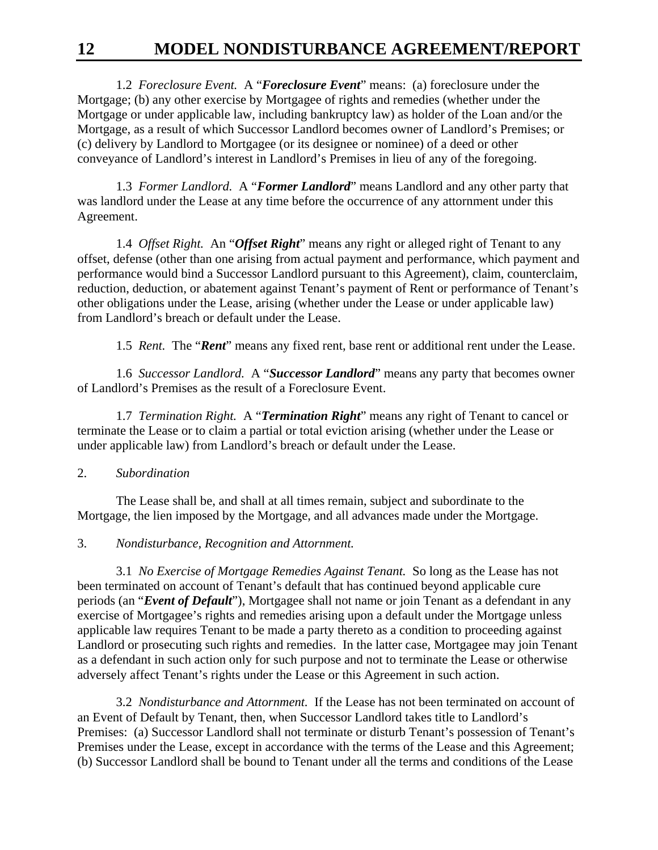1.2 *Foreclosure Event.* A "*Foreclosure Event*" means: (a) foreclosure under the Mortgage; (b) any other exercise by Mortgagee of rights and remedies (whether under the Mortgage or under applicable law, including bankruptcy law) as holder of the Loan and/or the Mortgage, as a result of which Successor Landlord becomes owner of Landlord's Premises; or (c) delivery by Landlord to Mortgagee (or its designee or nominee) of a deed or other conveyance of Landlord's interest in Landlord's Premises in lieu of any of the foregoing.

1.3 *Former Landlord.* A "*Former Landlord*" means Landlord and any other party that was landlord under the Lease at any time before the occurrence of any attornment under this Agreement.

1.4 *Offset Right.* An "*Offset Right*" means any right or alleged right of Tenant to any offset, defense (other than one arising from actual payment and performance, which payment and performance would bind a Successor Landlord pursuant to this Agreement), claim, counterclaim, reduction, deduction, or abatement against Tenant's payment of Rent or performance of Tenant's other obligations under the Lease, arising (whether under the Lease or under applicable law) from Landlord's breach or default under the Lease.

1.5 *Rent.* The "*Rent*" means any fixed rent, base rent or additional rent under the Lease.

1.6 *Successor Landlord.* A "*Successor Landlord*" means any party that becomes owner of Landlord's Premises as the result of a Foreclosure Event.

1.7 *Termination Right.* A "*Termination Right*" means any right of Tenant to cancel or terminate the Lease or to claim a partial or total eviction arising (whether under the Lease or under applicable law) from Landlord's breach or default under the Lease.

#### 2. *Subordination*

The Lease shall be, and shall at all times remain, subject and subordinate to the Mortgage, the lien imposed by the Mortgage, and all advances made under the Mortgage.

# 3. *Nondisturbance, Recognition and Attornment.*

3.1 *No Exercise of Mortgage Remedies Against Tenant.* So long as the Lease has not been terminated on account of Tenant's default that has continued beyond applicable cure periods (an "*Event of Default*"), Mortgagee shall not name or join Tenant as a defendant in any exercise of Mortgagee's rights and remedies arising upon a default under the Mortgage unless applicable law requires Tenant to be made a party thereto as a condition to proceeding against Landlord or prosecuting such rights and remedies. In the latter case, Mortgagee may join Tenant as a defendant in such action only for such purpose and not to terminate the Lease or otherwise adversely affect Tenant's rights under the Lease or this Agreement in such action.

3.2 *Nondisturbance and Attornment.* If the Lease has not been terminated on account of an Event of Default by Tenant, then, when Successor Landlord takes title to Landlord's Premises: (a) Successor Landlord shall not terminate or disturb Tenant's possession of Tenant's Premises under the Lease, except in accordance with the terms of the Lease and this Agreement; (b) Successor Landlord shall be bound to Tenant under all the terms and conditions of the Lease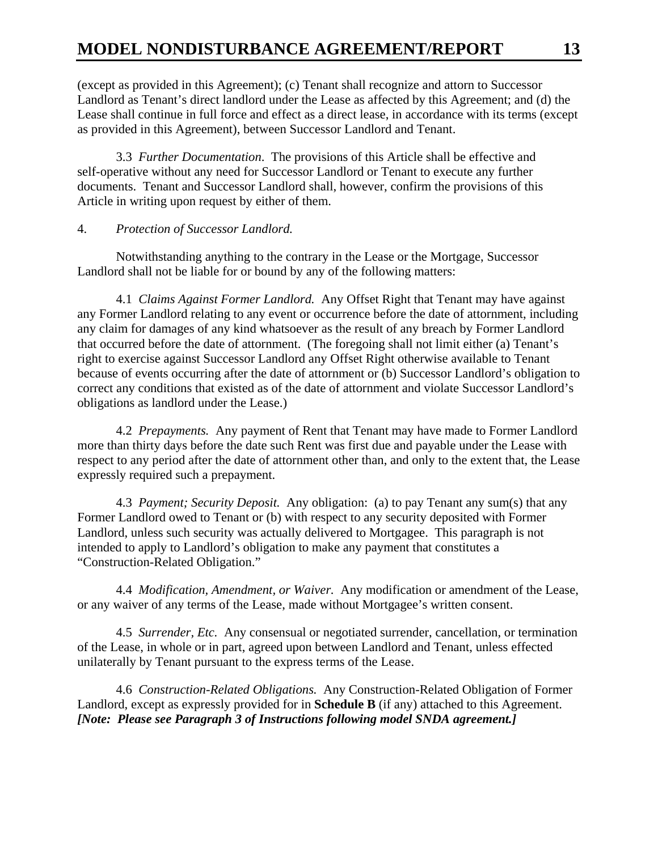(except as provided in this Agreement); (c) Tenant shall recognize and attorn to Successor Landlord as Tenant's direct landlord under the Lease as affected by this Agreement; and (d) the Lease shall continue in full force and effect as a direct lease, in accordance with its terms (except as provided in this Agreement), between Successor Landlord and Tenant.

3.3 *Further Documentation*. The provisions of this Article shall be effective and self-operative without any need for Successor Landlord or Tenant to execute any further documents. Tenant and Successor Landlord shall, however, confirm the provisions of this Article in writing upon request by either of them.

# 4. *Protection of Successor Landlord.*

Notwithstanding anything to the contrary in the Lease or the Mortgage, Successor Landlord shall not be liable for or bound by any of the following matters:

4.1 *Claims Against Former Landlord.* Any Offset Right that Tenant may have against any Former Landlord relating to any event or occurrence before the date of attornment, including any claim for damages of any kind whatsoever as the result of any breach by Former Landlord that occurred before the date of attornment. (The foregoing shall not limit either (a) Tenant's right to exercise against Successor Landlord any Offset Right otherwise available to Tenant because of events occurring after the date of attornment or (b) Successor Landlord's obligation to correct any conditions that existed as of the date of attornment and violate Successor Landlord's obligations as landlord under the Lease.)

4.2 *Prepayments.* Any payment of Rent that Tenant may have made to Former Landlord more than thirty days before the date such Rent was first due and payable under the Lease with respect to any period after the date of attornment other than, and only to the extent that, the Lease expressly required such a prepayment.

4.3 *Payment; Security Deposit.* Any obligation: (a) to pay Tenant any sum(s) that any Former Landlord owed to Tenant or (b) with respect to any security deposited with Former Landlord, unless such security was actually delivered to Mortgagee. This paragraph is not intended to apply to Landlord's obligation to make any payment that constitutes a "Construction-Related Obligation."

4.4 *Modification, Amendment, or Waiver.* Any modification or amendment of the Lease, or any waiver of any terms of the Lease, made without Mortgagee's written consent.

4.5 *Surrender, Etc.* Any consensual or negotiated surrender, cancellation, or termination of the Lease, in whole or in part, agreed upon between Landlord and Tenant, unless effected unilaterally by Tenant pursuant to the express terms of the Lease.

4.6 *Construction-Related Obligations.* Any Construction-Related Obligation of Former Landlord, except as expressly provided for in **Schedule B** (if any) attached to this Agreement. *[Note: Please see Paragraph 3 of Instructions following model SNDA agreement.]*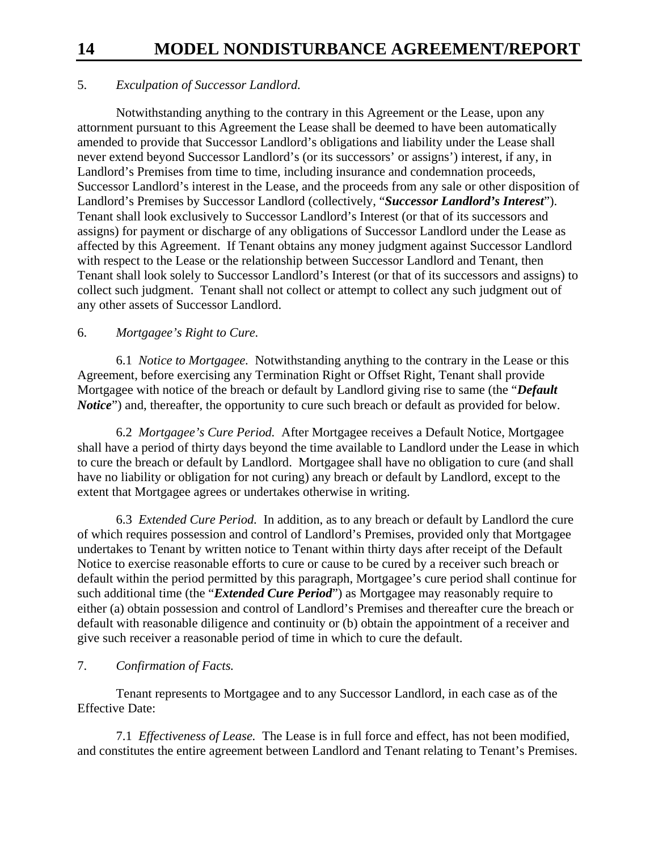# 5. *Exculpation of Successor Landlord.*

Notwithstanding anything to the contrary in this Agreement or the Lease, upon any attornment pursuant to this Agreement the Lease shall be deemed to have been automatically amended to provide that Successor Landlord's obligations and liability under the Lease shall never extend beyond Successor Landlord's (or its successors' or assigns') interest, if any, in Landlord's Premises from time to time, including insurance and condemnation proceeds, Successor Landlord's interest in the Lease, and the proceeds from any sale or other disposition of Landlord's Premises by Successor Landlord (collectively, "*Successor Landlord's Interest*"). Tenant shall look exclusively to Successor Landlord's Interest (or that of its successors and assigns) for payment or discharge of any obligations of Successor Landlord under the Lease as affected by this Agreement. If Tenant obtains any money judgment against Successor Landlord with respect to the Lease or the relationship between Successor Landlord and Tenant, then Tenant shall look solely to Successor Landlord's Interest (or that of its successors and assigns) to collect such judgment. Tenant shall not collect or attempt to collect any such judgment out of any other assets of Successor Landlord.

# 6. *Mortgagee's Right to Cure.*

6.1 *Notice to Mortgagee.* Notwithstanding anything to the contrary in the Lease or this Agreement, before exercising any Termination Right or Offset Right, Tenant shall provide Mortgagee with notice of the breach or default by Landlord giving rise to same (the "*Default Notice*") and, thereafter, the opportunity to cure such breach or default as provided for below.

6.2 *Mortgagee's Cure Period.* After Mortgagee receives a Default Notice, Mortgagee shall have a period of thirty days beyond the time available to Landlord under the Lease in which to cure the breach or default by Landlord. Mortgagee shall have no obligation to cure (and shall have no liability or obligation for not curing) any breach or default by Landlord, except to the extent that Mortgagee agrees or undertakes otherwise in writing.

6.3 *Extended Cure Period.* In addition, as to any breach or default by Landlord the cure of which requires possession and control of Landlord's Premises, provided only that Mortgagee undertakes to Tenant by written notice to Tenant within thirty days after receipt of the Default Notice to exercise reasonable efforts to cure or cause to be cured by a receiver such breach or default within the period permitted by this paragraph, Mortgagee's cure period shall continue for such additional time (the "*Extended Cure Period*") as Mortgagee may reasonably require to either (a) obtain possession and control of Landlord's Premises and thereafter cure the breach or default with reasonable diligence and continuity or (b) obtain the appointment of a receiver and give such receiver a reasonable period of time in which to cure the default.

# 7. *Confirmation of Facts.*

Tenant represents to Mortgagee and to any Successor Landlord, in each case as of the Effective Date:

7.1 *Effectiveness of Lease.* The Lease is in full force and effect, has not been modified, and constitutes the entire agreement between Landlord and Tenant relating to Tenant's Premises.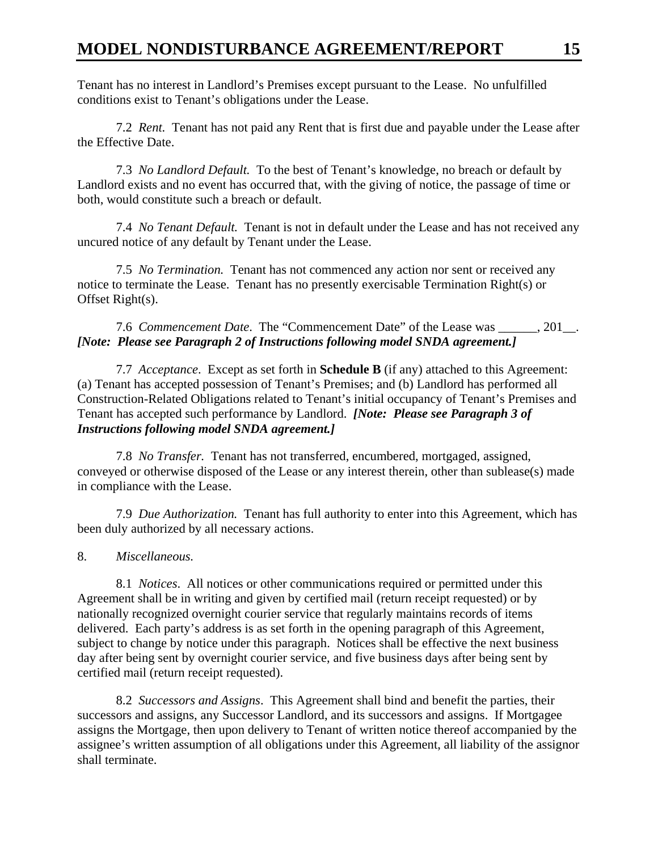Tenant has no interest in Landlord's Premises except pursuant to the Lease. No unfulfilled conditions exist to Tenant's obligations under the Lease.

7.2 *Rent.* Tenant has not paid any Rent that is first due and payable under the Lease after the Effective Date.

7.3 *No Landlord Default.* To the best of Tenant's knowledge, no breach or default by Landlord exists and no event has occurred that, with the giving of notice, the passage of time or both, would constitute such a breach or default.

7.4 *No Tenant Default.* Tenant is not in default under the Lease and has not received any uncured notice of any default by Tenant under the Lease.

7.5 *No Termination.* Tenant has not commenced any action nor sent or received any notice to terminate the Lease. Tenant has no presently exercisable Termination Right(s) or Offset Right(s).

7.6 *Commencement Date*. The "Commencement Date" of the Lease was \_\_\_\_\_\_, 201\_\_. *[Note: Please see Paragraph 2 of Instructions following model SNDA agreement.]*

7.7 *Acceptance*. Except as set forth in **Schedule B** (if any) attached to this Agreement: (a) Tenant has accepted possession of Tenant's Premises; and (b) Landlord has performed all Construction-Related Obligations related to Tenant's initial occupancy of Tenant's Premises and Tenant has accepted such performance by Landlord. *[Note: Please see Paragraph 3 of Instructions following model SNDA agreement.]*

7.8 *No Transfer.* Tenant has not transferred, encumbered, mortgaged, assigned, conveyed or otherwise disposed of the Lease or any interest therein, other than sublease(s) made in compliance with the Lease.

7.9 *Due Authorization.* Tenant has full authority to enter into this Agreement, which has been duly authorized by all necessary actions.

# 8. *Miscellaneous.*

8.1 *Notices*. All notices or other communications required or permitted under this Agreement shall be in writing and given by certified mail (return receipt requested) or by nationally recognized overnight courier service that regularly maintains records of items delivered. Each party's address is as set forth in the opening paragraph of this Agreement, subject to change by notice under this paragraph. Notices shall be effective the next business day after being sent by overnight courier service, and five business days after being sent by certified mail (return receipt requested).

8.2 *Successors and Assigns*. This Agreement shall bind and benefit the parties, their successors and assigns, any Successor Landlord, and its successors and assigns. If Mortgagee assigns the Mortgage, then upon delivery to Tenant of written notice thereof accompanied by the assignee's written assumption of all obligations under this Agreement, all liability of the assignor shall terminate.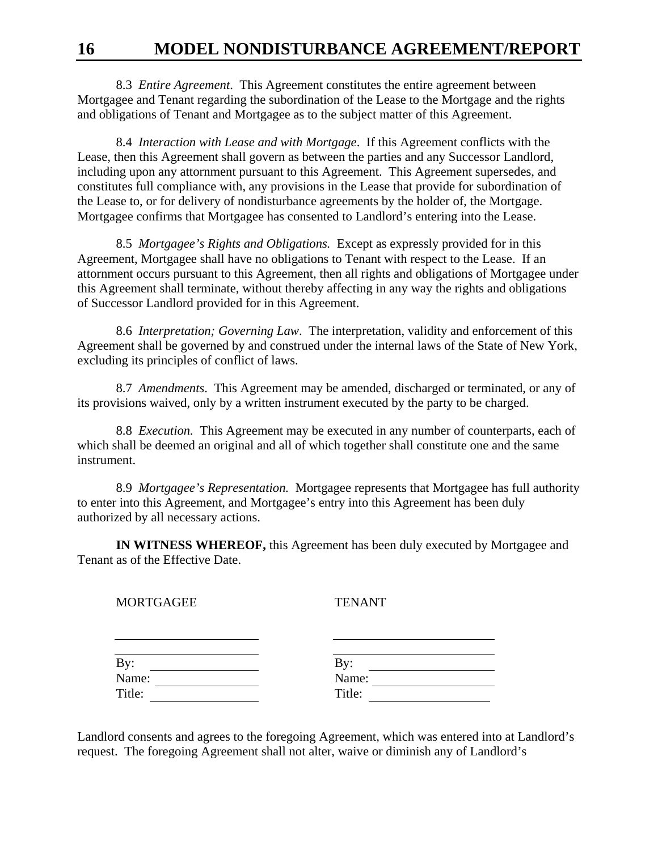8.3 *Entire Agreement*. This Agreement constitutes the entire agreement between Mortgagee and Tenant regarding the subordination of the Lease to the Mortgage and the rights and obligations of Tenant and Mortgagee as to the subject matter of this Agreement.

8.4 *Interaction with Lease and with Mortgage*. If this Agreement conflicts with the Lease, then this Agreement shall govern as between the parties and any Successor Landlord, including upon any attornment pursuant to this Agreement. This Agreement supersedes, and constitutes full compliance with, any provisions in the Lease that provide for subordination of the Lease to, or for delivery of nondisturbance agreements by the holder of, the Mortgage. Mortgagee confirms that Mortgagee has consented to Landlord's entering into the Lease.

8.5 *Mortgagee's Rights and Obligations.* Except as expressly provided for in this Agreement, Mortgagee shall have no obligations to Tenant with respect to the Lease. If an attornment occurs pursuant to this Agreement, then all rights and obligations of Mortgagee under this Agreement shall terminate, without thereby affecting in any way the rights and obligations of Successor Landlord provided for in this Agreement.

8.6 *Interpretation; Governing Law*. The interpretation, validity and enforcement of this Agreement shall be governed by and construed under the internal laws of the State of New York, excluding its principles of conflict of laws.

8.7 *Amendments*. This Agreement may be amended, discharged or terminated, or any of its provisions waived, only by a written instrument executed by the party to be charged.

8.8 *Execution.* This Agreement may be executed in any number of counterparts, each of which shall be deemed an original and all of which together shall constitute one and the same instrument.

8.9 *Mortgagee's Representation.* Mortgagee represents that Mortgagee has full authority to enter into this Agreement, and Mortgagee's entry into this Agreement has been duly authorized by all necessary actions.

**IN WITNESS WHEREOF,** this Agreement has been duly executed by Mortgagee and Tenant as of the Effective Date.

MORTGAGEE TENANT

| By:    | By:    |  |
|--------|--------|--|
| Name:  | Name:  |  |
| Title: | Title: |  |
|        |        |  |

Landlord consents and agrees to the foregoing Agreement, which was entered into at Landlord's request. The foregoing Agreement shall not alter, waive or diminish any of Landlord's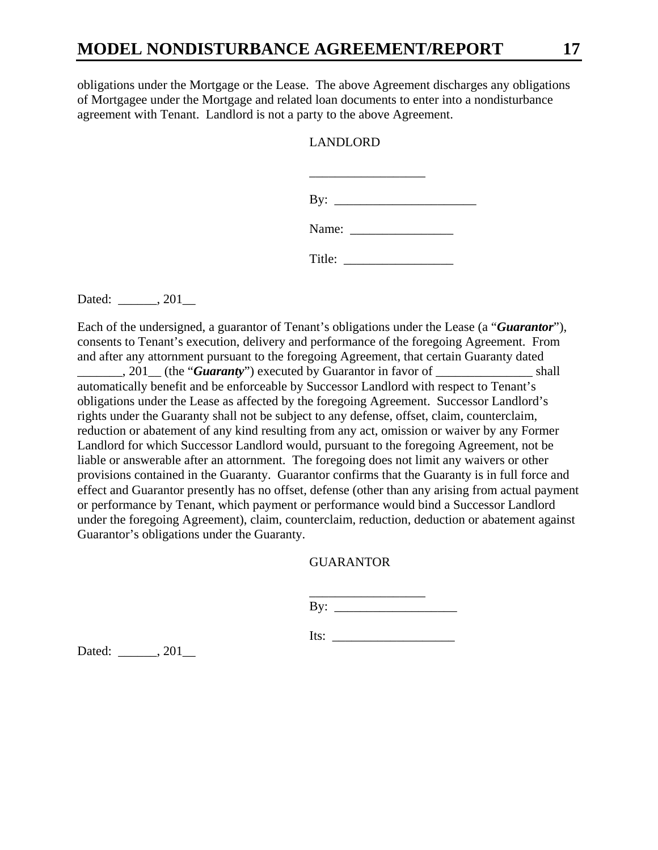obligations under the Mortgage or the Lease. The above Agreement discharges any obligations of Mortgagee under the Mortgage and related loan documents to enter into a nondisturbance agreement with Tenant. Landlord is not a party to the above Agreement.

#### LANDLORD

| By:   |  |
|-------|--|
| Name: |  |

Title: \_\_\_\_\_\_\_\_\_\_\_\_\_\_\_\_\_

\_\_\_\_\_\_\_\_\_\_\_\_\_\_\_\_\_\_

Dated: \_\_\_\_\_\_, 201\_\_\_

Each of the undersigned, a guarantor of Tenant's obligations under the Lease (a "*Guarantor*"), consents to Tenant's execution, delivery and performance of the foregoing Agreement. From and after any attornment pursuant to the foregoing Agreement, that certain Guaranty dated \_\_\_\_\_\_\_, 201\_\_ (the "*Guaranty*") executed by Guarantor in favor of \_\_\_\_\_\_\_\_\_\_\_\_\_\_\_ shall automatically benefit and be enforceable by Successor Landlord with respect to Tenant's obligations under the Lease as affected by the foregoing Agreement. Successor Landlord's rights under the Guaranty shall not be subject to any defense, offset, claim, counterclaim, reduction or abatement of any kind resulting from any act, omission or waiver by any Former Landlord for which Successor Landlord would, pursuant to the foregoing Agreement, not be liable or answerable after an attornment. The foregoing does not limit any waivers or other provisions contained in the Guaranty. Guarantor confirms that the Guaranty is in full force and effect and Guarantor presently has no offset, defense (other than any arising from actual payment or performance by Tenant, which payment or performance would bind a Successor Landlord under the foregoing Agreement), claim, counterclaim, reduction, deduction or abatement against Guarantor's obligations under the Guaranty.

#### **GUARANTOR**

| By: |  |
|-----|--|

 $Its: \_$ 

Dated: \_\_\_\_\_\_, 201\_\_\_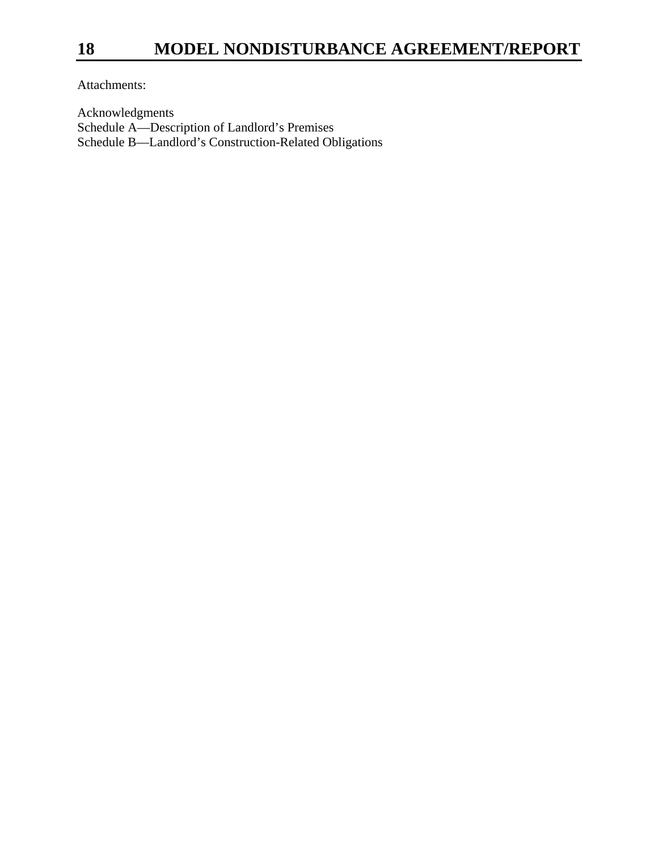Attachments:

Acknowledgments Schedule A—Description of Landlord's Premises Schedule B—Landlord's Construction-Related Obligations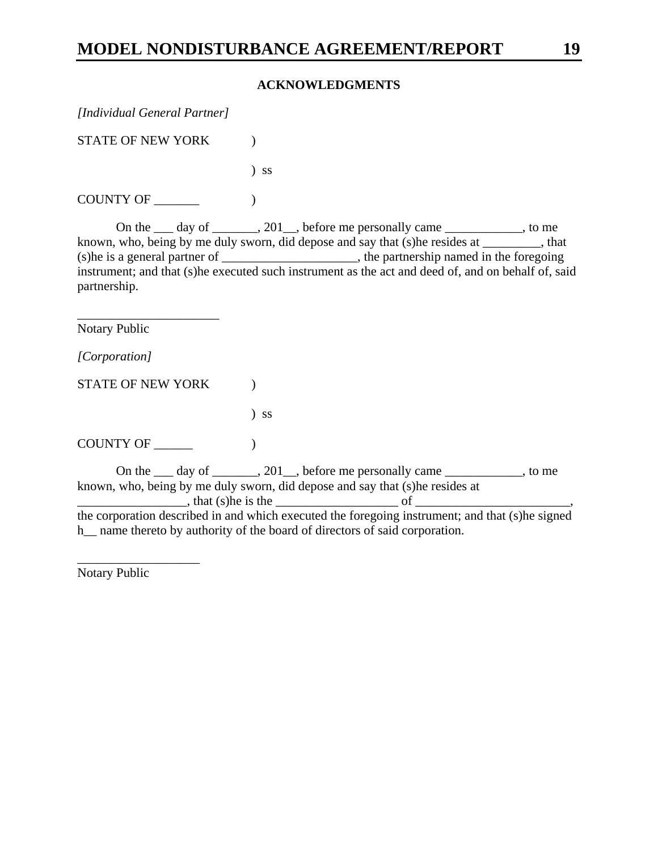#### **ACKNOWLEDGMENTS**

*[Individual General Partner]* 

STATE OF NEW YORK  $\qquad$  ) ) ss COUNTY OF \_\_\_\_\_\_\_ )

On the  $\_\_\_$  day of  $\_\_\_\_$ , 201 $\_\_\_\$  before me personally came  $\_\_\_\_\_\_\_\_$ , to me known, who, being by me duly sworn, did depose and say that  $(s)$ he resides at  $\qquad \qquad$ , that (s)he is a general partner of \_\_\_\_\_\_\_\_\_\_\_\_\_\_\_\_\_\_\_\_\_, the partnership named in the foregoing instrument; and that (s)he executed such instrument as the act and deed of, and on behalf of, said partnership.

Notary Public

*[Corporation]* 

STATE OF NEW YORK  $\qquad$  )

\_\_\_\_\_\_\_\_\_\_\_\_\_\_\_\_\_\_\_\_\_\_

) ss

COUNTY OF \_\_\_\_\_\_ )

On the  $\_\_\_$  day of  $\_\_\_\_$ , 201 $\_\_\_\$ , before me personally came  $\_\_\_\_\_\_\_\_\_$ , to me known, who, being by me duly sworn, did depose and say that (s)he resides at  $\blacksquare$ , that (s)he is the  $\blacksquare$ the corporation described in and which executed the foregoing instrument; and that (s)he signed h\_\_ name thereto by authority of the board of directors of said corporation.

Notary Public

\_\_\_\_\_\_\_\_\_\_\_\_\_\_\_\_\_\_\_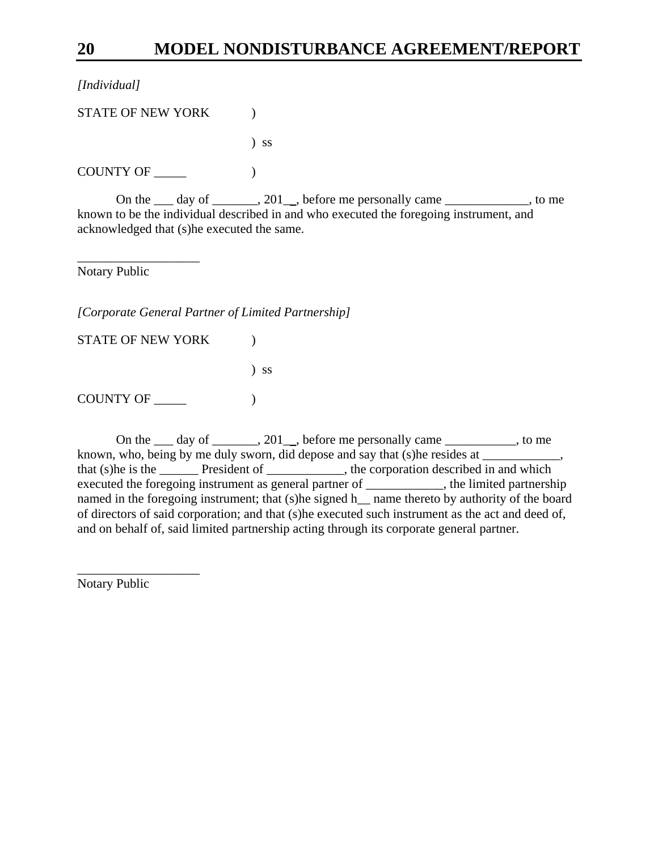*[Individual]* 

STATE OF NEW YORK  $\qquad \qquad$  )

) ss

COUNTY OF \_\_\_\_\_ )

On the  $\_\_$  day of  $\_\_\_$ , 201 $\_\_$ , before me personally came  $\_\_\_\_\_\_$ , to me known to be the individual described in and who executed the foregoing instrument, and acknowledged that (s)he executed the same.

\_\_\_\_\_\_\_\_\_\_\_\_\_\_\_\_\_\_\_ Notary Public

*[Corporate General Partner of Limited Partnership]* 

STATE OF NEW YORK  $\qquad$  )  $\sum_{i=1}^{n}$  ss COUNTY OF \_\_\_\_\_ )

On the  $\_\_\_$  day of  $\_\_\_\_$ , 201 $\_\_\_\$ , before me personally came  $\_\_\_\_\_\_\_\_$ , to me known, who, being by me duly sworn, did depose and say that (s) he resides at \_\_\_\_\_\_\_\_\_ that (s)he is the <u>next president of next president</u> of  $\frac{1}{\sqrt{1-\frac{1}{n}}}\$ , the corporation described in and which executed the foregoing instrument as general partner of \_\_\_\_\_\_\_\_\_\_\_\_, the limited partnership named in the foregoing instrument; that (s)he signed h\_ name thereto by authority of the board of directors of said corporation; and that (s)he executed such instrument as the act and deed of, and on behalf of, said limited partnership acting through its corporate general partner.

Notary Public

\_\_\_\_\_\_\_\_\_\_\_\_\_\_\_\_\_\_\_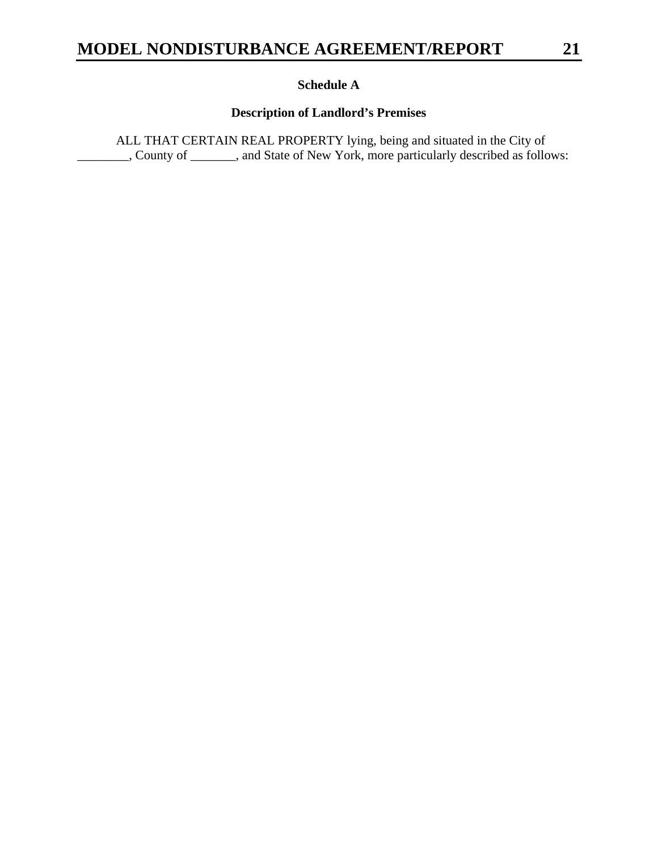# **Schedule A**

#### **Description of Landlord's Premises**

ALL THAT CERTAIN REAL PROPERTY lying, being and situated in the City of \_\_\_\_\_\_\_\_, County of \_\_\_\_\_\_\_, and State of New York, more particularly described as follows: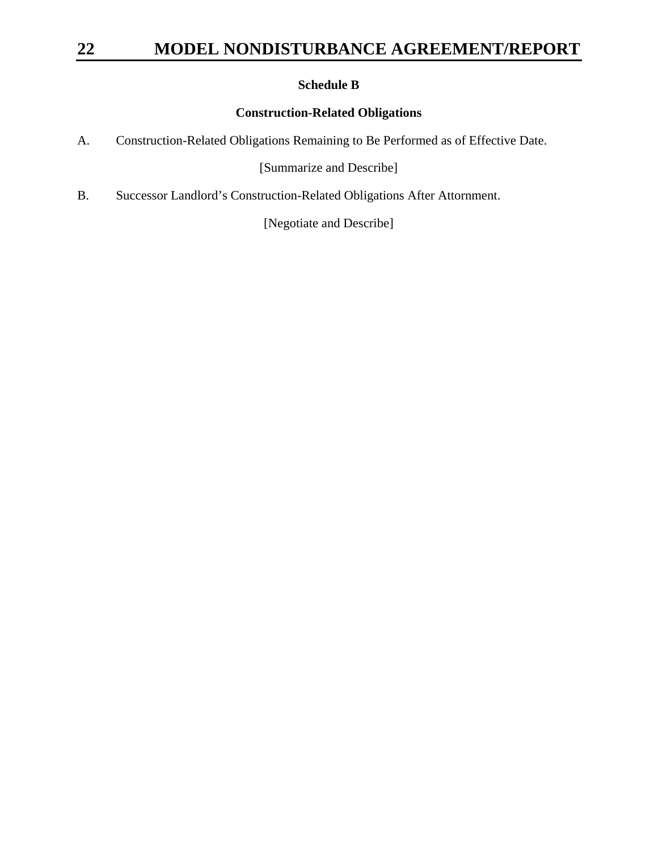# **Schedule B**

# **Construction-Related Obligations**

A. Construction-Related Obligations Remaining to Be Performed as of Effective Date.

[Summarize and Describe]

B. Successor Landlord's Construction-Related Obligations After Attornment.

[Negotiate and Describe]